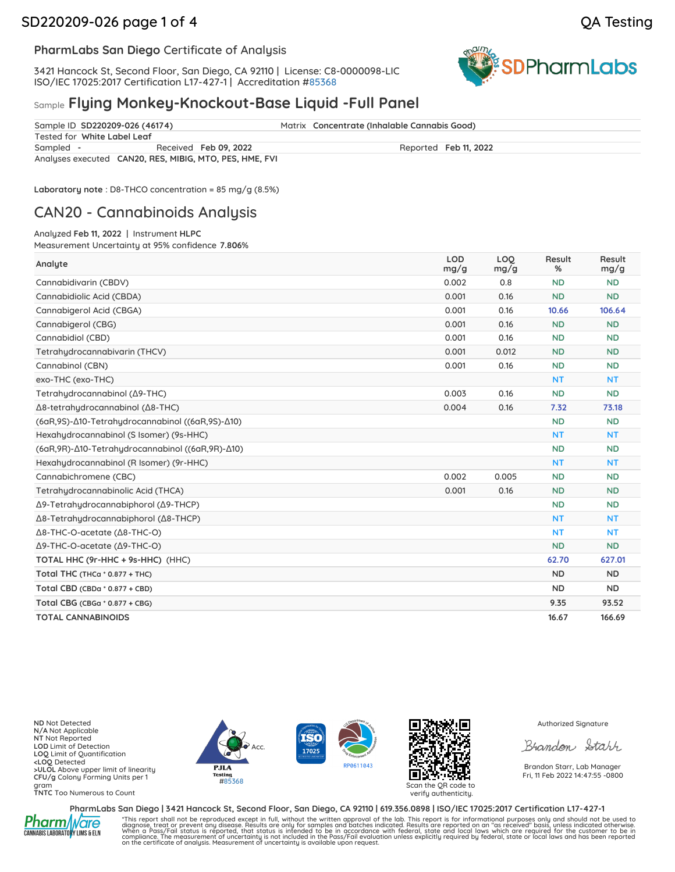# SD220209-026 page 1 of 4 QA Testing



### **PharmLabs San Diego** Certificate of Analysis

3421 Hancock St, Second Floor, San Diego, CA 92110 | License: C8-0000098-LIC ISO/IEC 17025:2017 Certification L17-427-1 | Accreditation [#85368](https://www.dropbox.com/s/l983yoy8rtdtn0q/L21-599%20PharmLabs%20San%20Diego.pdf?dl=0)



## Sample **Flying Monkey-Knockout-Base Liquid -Full Panel**

|           | Sample ID SD220209-026 (46174)                          |                       |  | Matrix Concentrate (Inhalable Cannabis Good) |  |  |
|-----------|---------------------------------------------------------|-----------------------|--|----------------------------------------------|--|--|
|           | Tested for White Label Leaf                             |                       |  |                                              |  |  |
| Sampled - |                                                         | Received Feb 09, 2022 |  | Reported Feb 11, 2022                        |  |  |
|           | Analyses executed CAN20, RES, MIBIG, MTO, PES, HME, FVI |                       |  |                                              |  |  |

**Laboratory note** : D8-THCO concentration = 85 mg/g (8.5%)

# CAN20 - Cannabinoids Analysis

Analyzed **Feb 11, 2022** | Instrument **HLPC**

Measurement Uncertainty at 95% confidence **7.806**%

| Analyte                                            | <b>LOD</b><br>mg/g | LOO<br>mg/g | Result<br>% | Result<br>mg/g |
|----------------------------------------------------|--------------------|-------------|-------------|----------------|
| Cannabidivarin (CBDV)                              | 0.002              | 0.8         | <b>ND</b>   | <b>ND</b>      |
| Cannabidiolic Acid (CBDA)                          | 0.001              | 0.16        | <b>ND</b>   | <b>ND</b>      |
| Cannabigerol Acid (CBGA)                           | 0.001              | 0.16        | 10.66       | 106.64         |
| Cannabigerol (CBG)                                 | 0.001              | 0.16        | <b>ND</b>   | <b>ND</b>      |
| Cannabidiol (CBD)                                  | 0.001              | 0.16        | <b>ND</b>   | <b>ND</b>      |
| Tetrahydrocannabivarin (THCV)                      | 0.001              | 0.012       | <b>ND</b>   | <b>ND</b>      |
| Cannabinol (CBN)                                   | 0.001              | 0.16        | <b>ND</b>   | <b>ND</b>      |
| exo-THC (exo-THC)                                  |                    |             | <b>NT</b>   | <b>NT</b>      |
| Tetrahudrocannabinol (Δ9-THC)                      | 0.003              | 0.16        | <b>ND</b>   | <b>ND</b>      |
| Δ8-tetrahydrocannabinol (Δ8-THC)                   | 0.004              | 0.16        | 7.32        | 73.18          |
| (6αR,9S)-Δ10-Tetrahydrocannabinol ((6αR,9S)-Δ10)   |                    |             | <b>ND</b>   | <b>ND</b>      |
| Hexahudrocannabinol (S Isomer) (9s-HHC)            |                    |             | <b>NT</b>   | <b>NT</b>      |
| (6αR, 9R)-Δ10-Tetrahydrocannabinol ((6αR, 9R)-Δ10) |                    |             | <b>ND</b>   | <b>ND</b>      |
| Hexahudrocannabinol (R Isomer) (9r-HHC)            |                    |             | <b>NT</b>   | <b>NT</b>      |
| Cannabichromene (CBC)                              | 0.002              | 0.005       | <b>ND</b>   | <b>ND</b>      |
| Tetrahudrocannabinolic Acid (THCA)                 | 0.001              | 0.16        | <b>ND</b>   | <b>ND</b>      |
| Δ9-Tetrahudrocannabiphorol (Δ9-THCP)               |                    |             | <b>ND</b>   | <b>ND</b>      |
| Δ8-Tetrahudrocannabiphorol (Δ8-THCP)               |                    |             | <b>NT</b>   | <b>NT</b>      |
| Δ8-THC-O-acetate (Δ8-THC-O)                        |                    |             | <b>NT</b>   | <b>NT</b>      |
| Δ9-THC-O-acetate (Δ9-THC-O)                        |                    |             | <b>ND</b>   | <b>ND</b>      |
| TOTAL HHC (9r-HHC + 9s-HHC) (HHC)                  |                    |             | 62.70       | 627.01         |
| Total THC (THCa * 0.877 + THC)                     |                    |             | <b>ND</b>   | ND.            |
| Total CBD (CBDa * 0.877 + CBD)                     |                    |             | <b>ND</b>   | <b>ND</b>      |
| Total CBG (CBGa * 0.877 + CBG)                     |                    |             | 9.35        | 93.52          |
| <b>TOTAL CANNABINOIDS</b>                          |                    |             | 16.67       | 166.69         |

**ND** Not Detected **N/A** Not Applicable **NT** Not Reported **LOD** Limit of Detection **LOQ** Limit of Quantification **<LOQ** Detected **>ULOL** Above upper limit of linearity **CFU/g** Colony Forming Units per 1 gram **TNTC** Too Numerous to Count

Acc.  $P.H.A$ Testing #85368 Scan the QR code to





verify authenticity.

Authorized Signature

Brandon Starr

Brandon Starr, Lab Manager Fri, 11 Feb 2022 14:47:55 -0800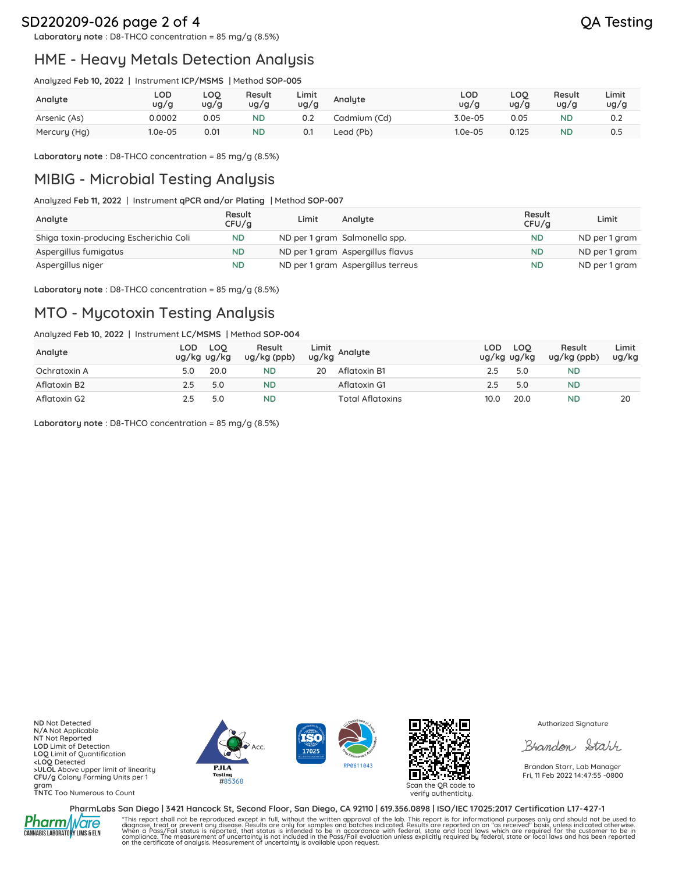# SD220209-026 page 2 of 4 QA Testing

**Laboratory note** : D8-THCO concentration = 85 mg/g (8.5%)

# HME - Heavy Metals Detection Analysis

Analyzed **Feb 10, 2022** | Instrument **ICP/MSMS** | Method **SOP-005**

| Analyte      | LOD<br>ug/g | LOQ<br>ug/g | Result<br>ug/g | Limit<br>ug/g | Analyte      | LOD<br>ug/g | LOQ<br>ug/g | Result<br>ug/g | Limit<br>ug/g |
|--------------|-------------|-------------|----------------|---------------|--------------|-------------|-------------|----------------|---------------|
| Arsenic (As) | 0.0002      | 0.05        | <b>ND</b>      | 0.2           | Cadmium (Cd) | $3.0e-05$   | 0.05        | <b>ND</b>      | 0.2           |
| Mercury (Hg) | 1.0e-05     | 0.01        | <b>ND</b>      |               | Lead (Pb)    | $1.0e-05$   | 0.125       | <b>ND</b>      | 0.5           |

**Laboratory note** : D8-THCO concentration = 85 mg/g (8.5%)

# MIBIG - Microbial Testing Analysis

Analyzed **Feb 11, 2022** | Instrument **qPCR and/or Plating** | Method **SOP-007**

| Analyte                                | Result<br>CFU/q | Limit | Analyte                           | Result<br>CFU/q | Limit         |
|----------------------------------------|-----------------|-------|-----------------------------------|-----------------|---------------|
| Shiga toxin-producing Escherichia Coli | <b>ND</b>       |       | ND per 1 gram Salmonella spp.     | <b>ND</b>       | ND per 1 gram |
| Aspergillus fumigatus                  | <b>ND</b>       |       | ND per 1 gram Aspergillus flavus  | <b>ND</b>       | ND per 1 gram |
| Aspergillus niger                      | <b>ND</b>       |       | ND per 1 gram Aspergillus terreus | <b>ND</b>       | ND per 1 gram |

**Laboratory note** : D8-THCO concentration = 85 mg/g (8.5%)

# MTO - Mycotoxin Testing Analysis

Analyzed **Feb 10, 2022** | Instrument **LC/MSMS** | Method **SOP-004**

| Analyte      | LOD<br>ug/kg ug/kg | <b>LOO</b> | Result<br>$ug/kg$ (ppb) |    | Limit<br>ug/kg Analyte | LOD.<br>ug/kg ug/kg | <b>LOO</b> | Result<br>$ug/kg$ (ppb) | Limit<br>ug/kg |
|--------------|--------------------|------------|-------------------------|----|------------------------|---------------------|------------|-------------------------|----------------|
| Ochratoxin A |                    | 20.0       | ND                      | 20 | Aflatoxin B1           | 2.5                 | 5.0        | ND                      |                |
| Aflatoxin B2 | 2.5                | 5.0        | <b>ND</b>               |    | Aflatoxin G1           | 2.5                 | 5.0        | <b>ND</b>               |                |
| Aflatoxin G2 |                    | 5.0        | ND                      |    | Total Aflatoxins       | 10.0                | 20.0       | ND                      | 20             |

**Laboratory note** : D8-THCO concentration = 85 mg/g (8.5%)

**ND** Not Detected **N/A** Not Applicable **NT** Not Reported **LOD** Limit of Detection **LOQ** Limit of Quantification **<LOQ** Detected **>ULOL** Above upper limit of linearity **CFU/g** Colony Forming Units per 1 gram **TNTC** Too Numerous to Count







verify authenticity.

Authorized Signature

Brandon Starr

Brandon Starr, Lab Manager Fri, 11 Feb 2022 14:47:55 -0800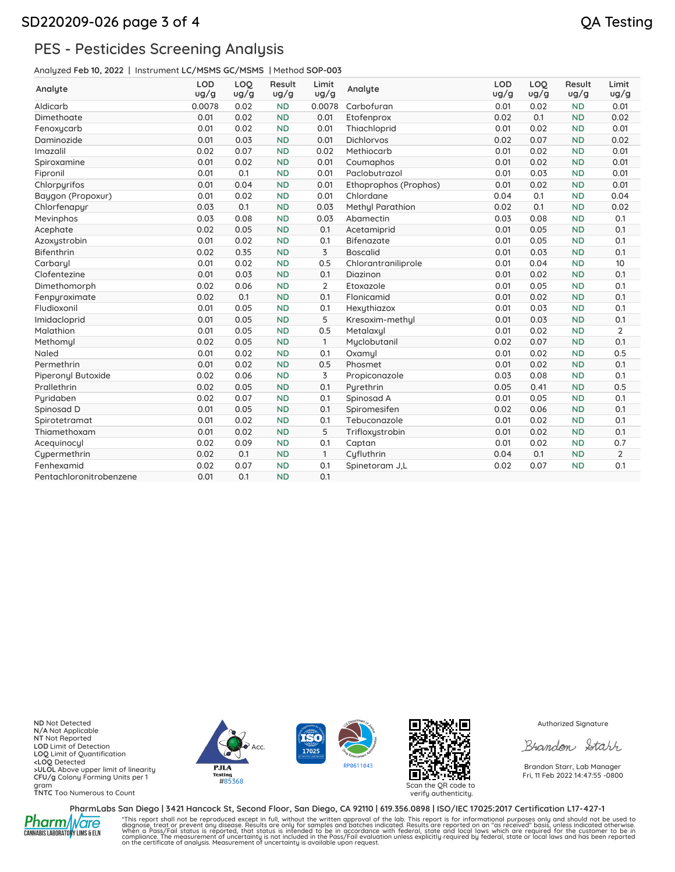# PES - Pesticides Screening Analysis

Analyzed **Feb 10, 2022** | Instrument **LC/MSMS GC/MSMS** | Method **SOP-003**

| Analyte                 | <b>LOD</b><br>ug/g | LOO<br>ug/g | Result<br>ug/g | Limit<br>ug/g  | Analyte                 | <b>LOD</b><br>ug/g | LOO<br>ug/g | Result<br>ug/g | Limit<br>ug/g  |
|-------------------------|--------------------|-------------|----------------|----------------|-------------------------|--------------------|-------------|----------------|----------------|
| Aldicarb                | 0.0078             | 0.02        | <b>ND</b>      | 0.0078         | Carbofuran              | 0.01               | 0.02        | <b>ND</b>      | 0.01           |
| Dimethoate              | 0.01               | 0.02        | <b>ND</b>      | 0.01           | Etofenprox              | 0.02               | 0.1         | <b>ND</b>      | 0.02           |
| Fenoxycarb              | 0.01               | 0.02        | <b>ND</b>      | 0.01           | Thiachloprid            | 0.01               | 0.02        | <b>ND</b>      | 0.01           |
| Daminozide              | 0.01               | 0.03        | <b>ND</b>      | 0.01           | <b>Dichlorvos</b>       | 0.02               | 0.07        | <b>ND</b>      | 0.02           |
| Imazalil                | 0.02               | 0.07        | <b>ND</b>      | 0.02           | Methiocarb              | 0.01               | 0.02        | <b>ND</b>      | 0.01           |
| Spiroxamine             | 0.01               | 0.02        | <b>ND</b>      | 0.01           | Coumaphos               | 0.01               | 0.02        | <b>ND</b>      | 0.01           |
| Fipronil                | 0.01               | 0.1         | <b>ND</b>      | 0.01           | Paclobutrazol           | 0.01               | 0.03        | <b>ND</b>      | 0.01           |
| Chlorpyrifos            | 0.01               | 0.04        | <b>ND</b>      | 0.01           | Ethoprophos (Prophos)   | 0.01               | 0.02        | <b>ND</b>      | 0.01           |
| Baygon (Propoxur)       | 0.01               | 0.02        | <b>ND</b>      | 0.01           | Chlordane               | 0.04               | 0.1         | <b>ND</b>      | 0.04           |
| Chlorfenapyr            | 0.03               | 0.1         | <b>ND</b>      | 0.03           | <b>Methyl Parathion</b> | 0.02               | 0.1         | <b>ND</b>      | 0.02           |
| Mevinphos               | 0.03               | 0.08        | <b>ND</b>      | 0.03           | Abamectin               | 0.03               | 0.08        | <b>ND</b>      | 0.1            |
| Acephate                | 0.02               | 0.05        | <b>ND</b>      | 0.1            | Acetamiprid             | 0.01               | 0.05        | <b>ND</b>      | 0.1            |
| Azoxustrobin            | 0.01               | 0.02        | <b>ND</b>      | 0.1            | <b>Bifenazate</b>       | 0.01               | 0.05        | <b>ND</b>      | 0.1            |
| Bifenthrin              | 0.02               | 0.35        | <b>ND</b>      | 3              | <b>Boscalid</b>         | 0.01               | 0.03        | <b>ND</b>      | 0.1            |
| Carbaryl                | 0.01               | 0.02        | <b>ND</b>      | 0.5            | Chlorantraniliprole     | 0.01               | 0.04        | <b>ND</b>      | 10             |
| Clofentezine            | 0.01               | 0.03        | <b>ND</b>      | 0.1            | Diazinon                | 0.01               | 0.02        | <b>ND</b>      | 0.1            |
| Dimethomorph            | 0.02               | 0.06        | <b>ND</b>      | $\overline{2}$ | Etoxazole               | 0.01               | 0.05        | <b>ND</b>      | 0.1            |
| Fenpyroximate           | 0.02               | 0.1         | <b>ND</b>      | 0.1            | Flonicamid              | 0.01               | 0.02        | <b>ND</b>      | 0.1            |
| Fludioxonil             | 0.01               | 0.05        | <b>ND</b>      | 0.1            | Hexythiazox             | 0.01               | 0.03        | <b>ND</b>      | 0.1            |
| Imidacloprid            | 0.01               | 0.05        | <b>ND</b>      | 5              | Kresoxim-methul         | 0.01               | 0.03        | <b>ND</b>      | 0.1            |
| Malathion               | 0.01               | 0.05        | <b>ND</b>      | 0.5            | Metalaxyl               | 0.01               | 0.02        | <b>ND</b>      | $\overline{2}$ |
| Methomyl                | 0.02               | 0.05        | <b>ND</b>      | $\mathbf{1}$   | Myclobutanil            | 0.02               | 0.07        | <b>ND</b>      | 0.1            |
| Naled                   | 0.01               | 0.02        | <b>ND</b>      | 0.1            | Oxamyl                  | 0.01               | 0.02        | <b>ND</b>      | 0.5            |
| Permethrin              | 0.01               | 0.02        | <b>ND</b>      | 0.5            | Phosmet                 | 0.01               | 0.02        | <b>ND</b>      | 0.1            |
| Piperonyl Butoxide      | 0.02               | 0.06        | <b>ND</b>      | 3              | Propiconazole           | 0.03               | 0.08        | <b>ND</b>      | 0.1            |
| Prallethrin             | 0.02               | 0.05        | <b>ND</b>      | 0.1            | Pyrethrin               | 0.05               | 0.41        | <b>ND</b>      | 0.5            |
| Puridaben               | 0.02               | 0.07        | <b>ND</b>      | 0.1            | Spinosad A              | 0.01               | 0.05        | <b>ND</b>      | 0.1            |
| Spinosad D              | 0.01               | 0.05        | <b>ND</b>      | 0.1            | Spiromesifen            | 0.02               | 0.06        | <b>ND</b>      | 0.1            |
| Spirotetramat           | 0.01               | 0.02        | <b>ND</b>      | 0.1            | Tebuconazole            | 0.01               | 0.02        | <b>ND</b>      | 0.1            |
| Thiamethoxam            | 0.01               | 0.02        | <b>ND</b>      | 5              | Trifloxystrobin         | 0.01               | 0.02        | <b>ND</b>      | 0.1            |
| Acequinocyl             | 0.02               | 0.09        | <b>ND</b>      | 0.1            | Captan                  | 0.01               | 0.02        | <b>ND</b>      | 0.7            |
| Cypermethrin            | 0.02               | 0.1         | <b>ND</b>      | 1              | Cyfluthrin              | 0.04               | 0.1         | <b>ND</b>      | $\overline{2}$ |
| Fenhexamid              | 0.02               | 0.07        | <b>ND</b>      | 0.1            | Spinetoram J.L          | 0.02               | 0.07        | <b>ND</b>      | 0.1            |
| Pentachloronitrobenzene | 0.01               | 0.1         | <b>ND</b>      | 0.1            |                         |                    |             |                |                |

**ND** Not Detected **N/A** Not Applicable **NT** Not Reported **LOD** Limit of Detection **LOQ** Limit of Quantification **<LOQ** Detected **>ULOL** Above upper limit of linearity **CFU/g** Colony Forming Units per 1 gram **TNTC** Too Numerous to Count







verify authenticity.

Authorized Signature

Brandon Starr

Brandon Starr, Lab Manager Fri, 11 Feb 2022 14:47:55 -0800